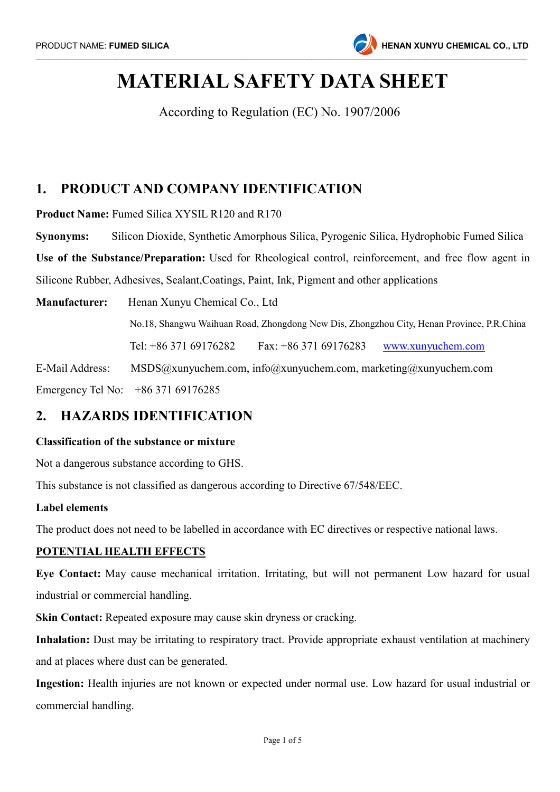

# MATERIAL SAFETY DATA SHEET

According to Regulation (EC) No. 1907/2006

# 1. PRODUCT AND COMPANY IDENTIFICATION

Product Name: Fumed Silica XYSIL R120 and R170

Synonyms: Silicon Dioxide, Synthetic Amorphous Silica, Pyrogenic Silica, Hydrophobic Fumed Silica

Use of the Substance/Preparation: Used for Rheological control, reinforcement, and free flow agent in Silicone Rubber, Adhesives, Sealant,Coatings, Paint, Ink, Pigment and other applications

Manufacturer: Henan Xunyu Chemical Co., Ltd No.18, Shangwu Waihuan Road, Zhongdong New Dis, Zhongzhou City, Henan Province, P.R.China Tel: +86 371 69176282 Fax: +86 371 69176283 www.xunyuchem.com E-Mail Address: MSDS@xunyuchem.com, info@xunyuchem.com, marketing@xunyuchem.com Emergency Tel No: +86 371 69176285

# 2. HAZARDS IDENTIFICATION

#### Classification of the substance or mixture

Not a dangerous substance according to GHS.

This substance is not classified as dangerous according to Directive 67/548/EEC.

#### Label elements

The product does not need to be labelled in accordance with EC directives or respective national laws.

#### POTENTIAL HEALTH EFFECTS

Eye Contact: May cause mechanical irritation. Irritating, but will not permanent Low hazard for usual industrial or commercial handling.

Skin Contact: Repeated exposure may cause skin dryness or cracking.

Inhalation: Dust may be irritating to respiratory tract. Provide appropriate exhaust ventilation at machinery and at places where dust can be generated.

Ingestion: Health injuries are not known or expected under normal use. Low hazard for usual industrial or commercial handling.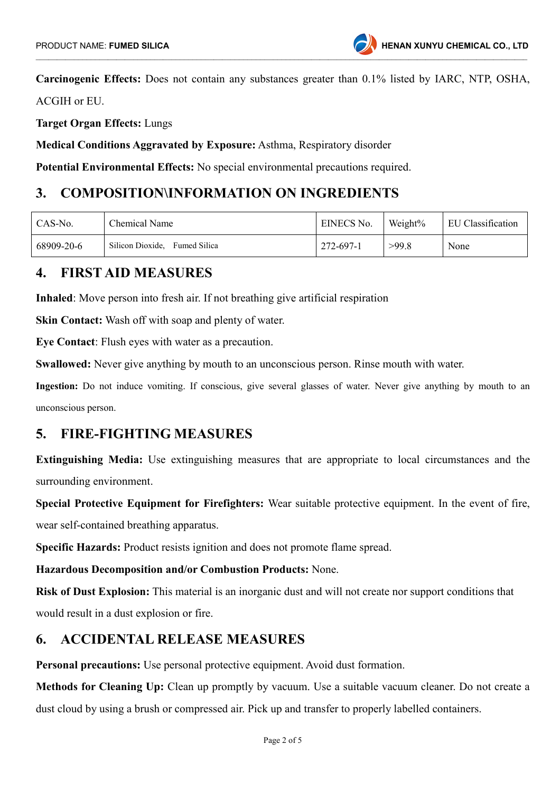Carcinogenic Effects: Does not contain any substances greater than 0.1% listed by IARC, NTP, OSHA,

ACGIH or EU.

Target Organ Effects: Lungs

Medical Conditions Aggravated by Exposure: Asthma, Respiratory disorder

Potential Environmental Effects: No special environmental precautions required.

# 3. COMPOSITION\INFORMATION ON INGREDIENTS

| CAS-No.    | Chemical Name                    | EINECS No. | Weight% | EU Classification |
|------------|----------------------------------|------------|---------|-------------------|
| 68909-20-6 | Silicon Dioxide.<br>Fumed Silica | 272-697-1  | >99.8   | None              |

### 4. FIRST AID MEASURES

Inhaled: Move person into fresh air. If not breathing give artificial respiration

Skin Contact: Wash off with soap and plenty of water.

Eye Contact: Flush eyes with water as a precaution.

Swallowed: Never give anything by mouth to an unconscious person. Rinse mouth with water.

Ingestion: Do not induce vomiting. If conscious, give several glasses of water. Never give anything by mouth to an unconscious person.

### 5. FIRE-FIGHTING MEASURES

Extinguishing Media: Use extinguishing measures that are appropriate to local circumstances and the surrounding environment.

Special Protective Equipment for Firefighters: Wear suitable protective equipment. In the event of fire,

wear self-contained breathing apparatus.

Specific Hazards: Product resists ignition and does not promote flame spread.

Hazardous Decomposition and/or Combustion Products: None.

Risk of Dust Explosion: This material is an inorganic dust and will not create nor support conditions that would result in a dust explosion or fire.

# 6. ACCIDENTAL RELEASE MEASURES

Personal precautions: Use personal protective equipment. Avoid dust formation.

Methods for Cleaning Up: Clean up promptly by vacuum. Use a suitable vacuum cleaner. Do not create a dust cloud by using a brush or compressed air. Pick up and transfer to properly labelled containers.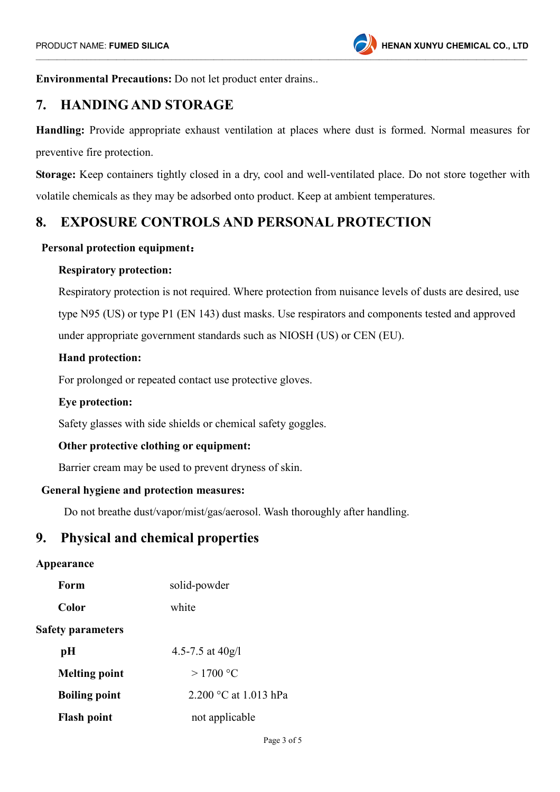Environmental Precautions: Do not let product enter drains..

# 7. HANDING AND STORAGE

Handling: Provide appropriate exhaust ventilation at places where dust is formed. Normal measures for preventive fire protection.

Storage: Keep containers tightly closed in a dry, cool and well-ventilated place. Do not store together with volatile chemicals as they may be adsorbed onto product. Keep at ambient temperatures.

# 8. EXPOSURE CONTROLS AND PERSONAL PROTECTION

#### Personal protection equipment:

#### Respiratory protection:

 Respiratory protection is not required. Where protection from nuisance levels of dusts are desired, use type N95 (US) or type P1 (EN 143) dust masks. Use respirators and components tested and approved under appropriate government standards such as NIOSH (US) or CEN (EU).

#### Hand protection:

For prolonged or repeated contact use protective gloves.

#### Eye protection:

Safety glasses with side shields or chemical safety goggles.

#### Other protective clothing or equipment:

Barrier cream may be used to prevent dryness of skin.

#### General hygiene and protection measures:

Do not breathe dust/vapor/mist/gas/aerosol. Wash thoroughly after handling.

### 9. Physical and chemical properties

#### Appearance

| Form                     | solid-powder          |
|--------------------------|-----------------------|
| Color                    | white                 |
| <b>Safety parameters</b> |                       |
| pH                       | 4.5-7.5 at $40g/l$    |
| <b>Melting point</b>     | $>1700$ °C            |
| <b>Boiling point</b>     | 2.200 °C at 1.013 hPa |
| <b>Flash point</b>       | not applicable        |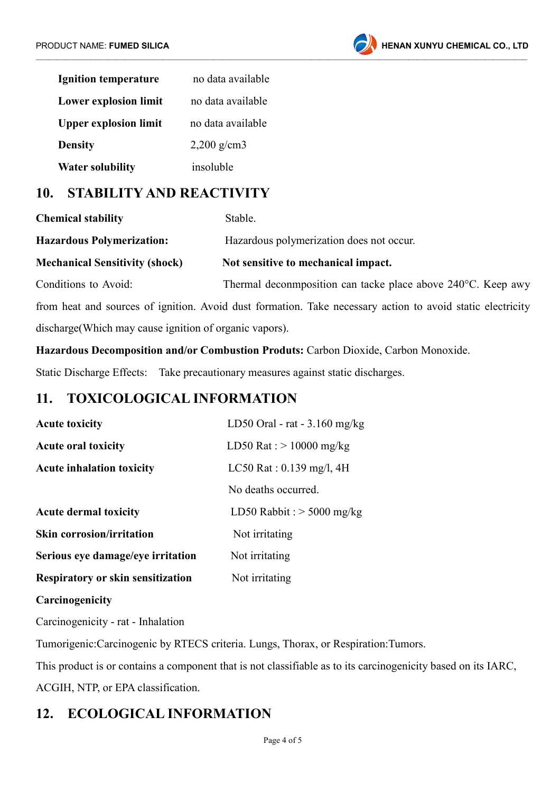

| <b>Ignition temperature</b>  | no data available      |  |
|------------------------------|------------------------|--|
| <b>Lower explosion limit</b> | no data available      |  |
| <b>Upper explosion limit</b> | no data available      |  |
| <b>Density</b>               | $2,200 \text{ g/cm}$ 3 |  |
| <b>Water solubility</b>      | insoluble              |  |

# 10. STABILITY AND REACTIVITY

| <b>Chemical stability</b>             | Stable.<br>Hazardous polymerization does not occur.                                                        |  |
|---------------------------------------|------------------------------------------------------------------------------------------------------------|--|
| <b>Hazardous Polymerization:</b>      |                                                                                                            |  |
| <b>Mechanical Sensitivity (shock)</b> | Not sensitive to mechanical impact.                                                                        |  |
| Conditions to Avoid:                  | Thermal deconmposition can tacke place above 240 °C. Keep awy                                              |  |
|                                       | from heat and sources of ignition. Avoid dust formation. Take necessary action to avoid static electricity |  |

discharge(Which may cause ignition of organic vapors).

Hazardous Decomposition and/or Combustion Produts: Carbon Dioxide, Carbon Monoxide.

Static Discharge Effects: Take precautionary measures against static discharges.

# 11. TOXICOLOGICAL INFORMATION

| <b>Acute toxicity</b>                    | LD50 Oral - rat $-3.160$ mg/kg |  |
|------------------------------------------|--------------------------------|--|
| <b>Acute oral toxicity</b>               | LD50 Rat : $> 10000$ mg/kg     |  |
| <b>Acute inhalation toxicity</b>         | LC50 Rat : $0.139$ mg/l, 4H    |  |
|                                          | No deaths occurred.            |  |
| <b>Acute dermal toxicity</b>             | LD50 Rabbit : $>$ 5000 mg/kg   |  |
| <b>Skin corrosion/irritation</b>         | Not irritating                 |  |
| Serious eye damage/eye irritation        | Not irritating                 |  |
| <b>Respiratory or skin sensitization</b> | Not irritating                 |  |

#### **Carcinogenicity**

Carcinogenicity - rat - Inhalation

Tumorigenic:Carcinogenic by RTECS criteria. Lungs, Thorax, or Respiration:Tumors.

This product is or contains a component that is not classifiable as to its carcinogenicity based on its IARC, ACGIH, NTP, or EPA classification.

# 12. ECOLOGICAL INFORMATION